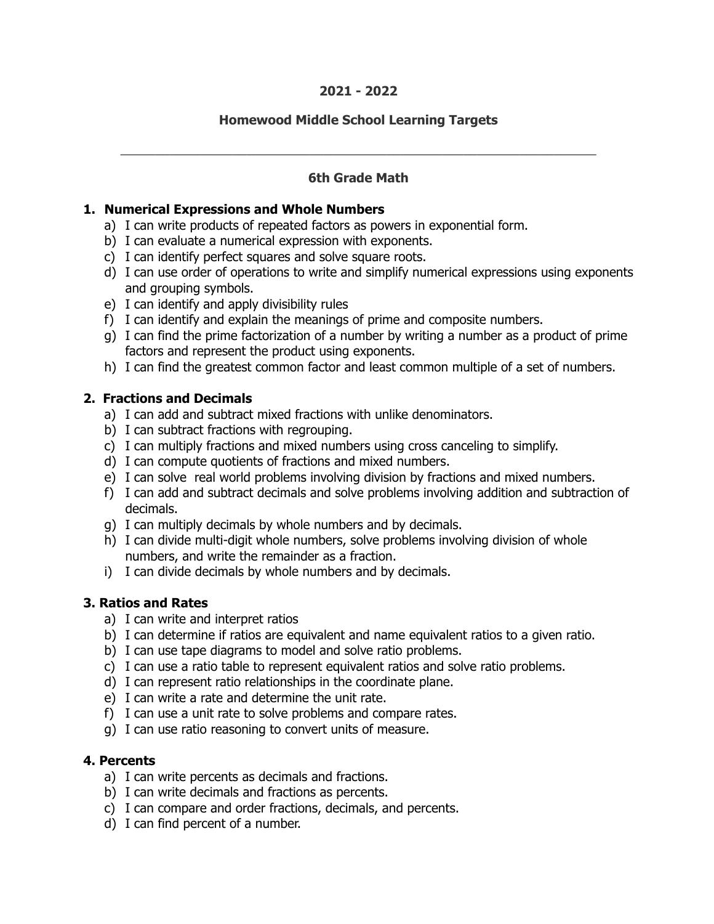#### **2021 - 2022**

## **Homewood Middle School Learning Targets**

## **6th Grade Math**

\_\_\_\_\_\_\_\_\_\_\_\_\_\_\_\_\_\_\_\_\_\_\_\_\_\_\_\_\_\_\_\_\_\_\_\_\_\_\_\_\_\_\_\_\_\_\_\_\_\_\_\_\_\_\_\_\_\_\_\_\_\_\_\_\_\_\_\_

#### **1. Numerical Expressions and Whole Numbers**

- a) I can write products of repeated factors as powers in exponential form.
- b) I can evaluate a numerical expression with exponents.
- c) I can identify perfect squares and solve square roots.
- d) I can use order of operations to write and simplify numerical expressions using exponents and grouping symbols.
- e) I can identify and apply divisibility rules
- f) I can identify and explain the meanings of prime and composite numbers.
- g) I can find the prime factorization of a number by writing a number as a product of prime factors and represent the product using exponents.
- h) I can find the greatest common factor and least common multiple of a set of numbers.

#### **2. Fractions and Decimals**

- a) I can add and subtract mixed fractions with unlike denominators.
- b) I can subtract fractions with regrouping.
- c) I can multiply fractions and mixed numbers using cross canceling to simplify.
- d) I can compute quotients of fractions and mixed numbers.
- e) I can solve real world problems involving division by fractions and mixed numbers.
- f) I can add and subtract decimals and solve problems involving addition and subtraction of decimals.
- g) I can multiply decimals by whole numbers and by decimals.
- h) I can divide multi-digit whole numbers, solve problems involving division of whole numbers, and write the remainder as a fraction.
- i) I can divide decimals by whole numbers and by decimals.

#### **3. Ratios and Rates**

- a) I can write and interpret ratios
- b) I can determine if ratios are equivalent and name equivalent ratios to a given ratio.
- b) I can use tape diagrams to model and solve ratio problems.
- c) I can use a ratio table to represent equivalent ratios and solve ratio problems.
- d) I can represent ratio relationships in the coordinate plane.
- e) I can write a rate and determine the unit rate.
- f) I can use a unit rate to solve problems and compare rates.
- g) I can use ratio reasoning to convert units of measure.

#### **4. Percents**

- a) I can write percents as decimals and fractions.
- b) I can write decimals and fractions as percents.
- c) I can compare and order fractions, decimals, and percents.
- d) I can find percent of a number.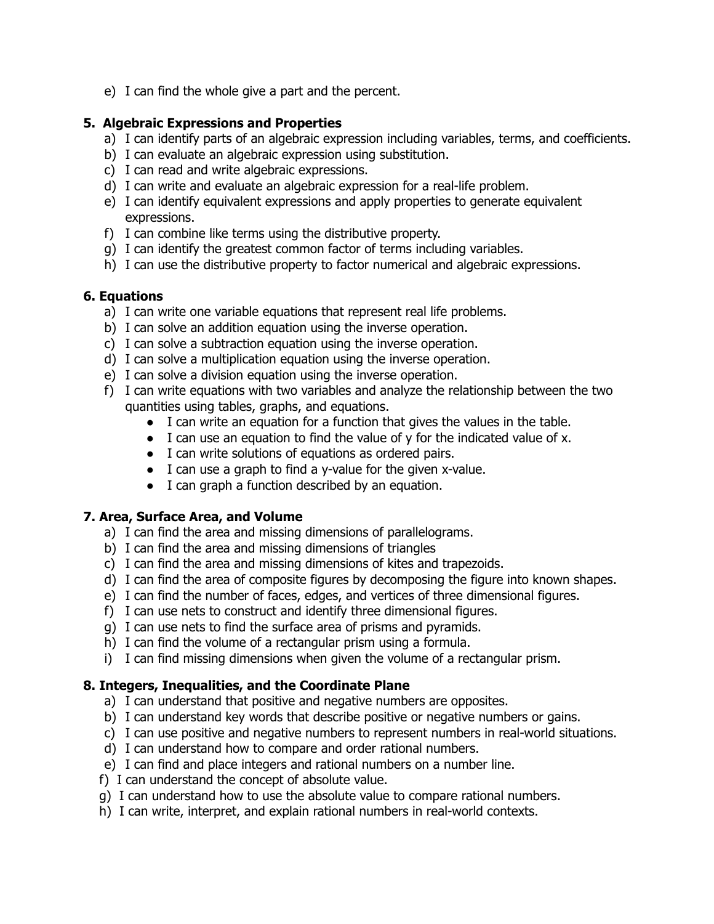e) I can find the whole give a part and the percent.

## **5. Algebraic Expressions and Properties**

- a) I can identify parts of an algebraic expression including variables, terms, and coefficients.
- b) I can evaluate an algebraic expression using substitution.
- c) I can read and write algebraic expressions.
- d) I can write and evaluate an algebraic expression for a real-life problem.
- e) I can identify equivalent expressions and apply properties to generate equivalent expressions.
- f) I can combine like terms using the distributive property.
- g) I can identify the greatest common factor of terms including variables.
- h) I can use the distributive property to factor numerical and algebraic expressions.

## **6. Equations**

- a) I can write one variable equations that represent real life problems.
- b) I can solve an addition equation using the inverse operation.
- c) I can solve a subtraction equation using the inverse operation.
- d) I can solve a multiplication equation using the inverse operation.
- e) I can solve a division equation using the inverse operation.
- f) I can write equations with two variables and analyze the relationship between the two quantities using tables, graphs, and equations.
	- I can write an equation for a function that gives the values in the table.
	- I can use an equation to find the value of y for the indicated value of x.
	- I can write solutions of equations as ordered pairs.
	- I can use a graph to find a y-value for the given x-value.
	- I can graph a function described by an equation.

#### **7. Area, Surface Area, and Volume**

- a) I can find the area and missing dimensions of parallelograms.
- b) I can find the area and missing dimensions of triangles
- c) I can find the area and missing dimensions of kites and trapezoids.
- d) I can find the area of composite figures by decomposing the figure into known shapes.
- e) I can find the number of faces, edges, and vertices of three dimensional figures.
- f) I can use nets to construct and identify three dimensional figures.
- g) I can use nets to find the surface area of prisms and pyramids.
- h) I can find the volume of a rectangular prism using a formula.
- i) I can find missing dimensions when given the volume of a rectangular prism.

#### **8. Integers, Inequalities, and the Coordinate Plane**

- a) I can understand that positive and negative numbers are opposites.
- b) I can understand key words that describe positive or negative numbers or gains.
- c) I can use positive and negative numbers to represent numbers in real-world situations.
- d) I can understand how to compare and order rational numbers.
- e) I can find and place integers and rational numbers on a number line.
- f) I can understand the concept of absolute value.
- g) I can understand how to use the absolute value to compare rational numbers.
- h) I can write, interpret, and explain rational numbers in real-world contexts.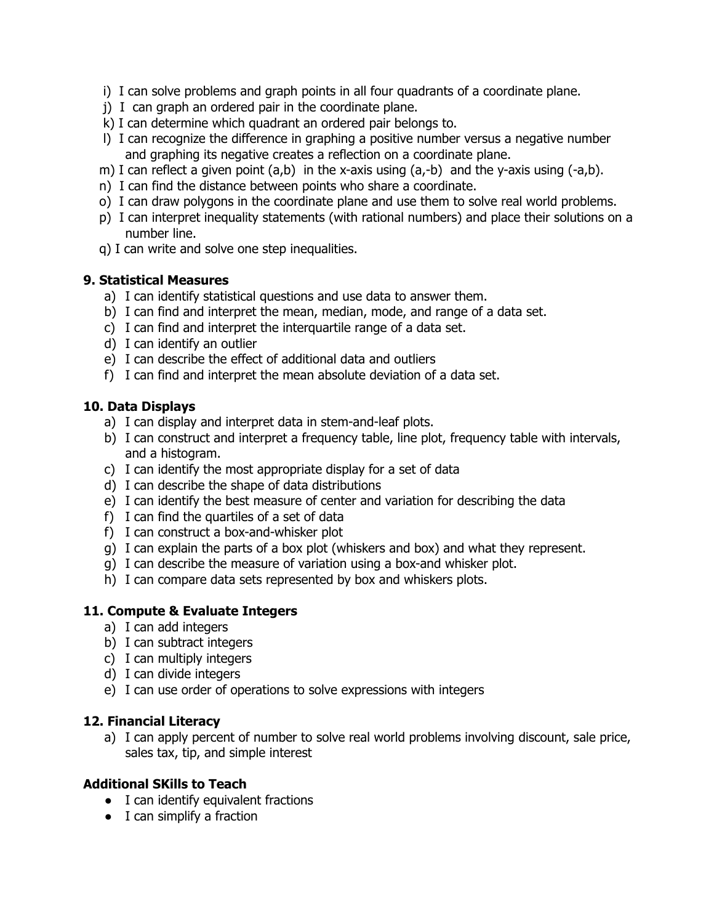- i) I can solve problems and graph points in all four quadrants of a coordinate plane.
- j) I can graph an ordered pair in the coordinate plane.
- k) I can determine which quadrant an ordered pair belongs to.
- l) I can recognize the difference in graphing a positive number versus a negative number and graphing its negative creates a reflection on a coordinate plane.
- m) I can reflect a given point (a,b) in the x-axis using (a,-b) and the y-axis using (-a,b).
- n) I can find the distance between points who share a coordinate.
- o) I can draw polygons in the coordinate plane and use them to solve real world problems.
- p) I can interpret inequality statements (with rational numbers) and place their solutions on a number line.
- q) I can write and solve one step inequalities.

#### **9. Statistical Measures**

- a) I can identify statistical questions and use data to answer them.
- b) I can find and interpret the mean, median, mode, and range of a data set.
- c) I can find and interpret the interquartile range of a data set.
- d) I can identify an outlier
- e) I can describe the effect of additional data and outliers
- f) I can find and interpret the mean absolute deviation of a data set.

#### **10. Data Displays**

- a) I can display and interpret data in stem-and-leaf plots.
- b) I can construct and interpret a frequency table, line plot, frequency table with intervals, and a histogram.
- c) I can identify the most appropriate display for a set of data
- d) I can describe the shape of data distributions
- e) I can identify the best measure of center and variation for describing the data
- f) I can find the quartiles of a set of data
- f) I can construct a box-and-whisker plot
- g) I can explain the parts of a box plot (whiskers and box) and what they represent.
- g) I can describe the measure of variation using a box-and whisker plot.
- h) I can compare data sets represented by box and whiskers plots.

#### **11. Compute & Evaluate Integers**

- a) I can add integers
- b) I can subtract integers
- c) I can multiply integers
- d) I can divide integers
- e) I can use order of operations to solve expressions with integers

#### **12. Financial Literacy**

a) I can apply percent of number to solve real world problems involving discount, sale price, sales tax, tip, and simple interest

#### **Additional SKills to Teach**

- I can identify equivalent fractions
- I can simplify a fraction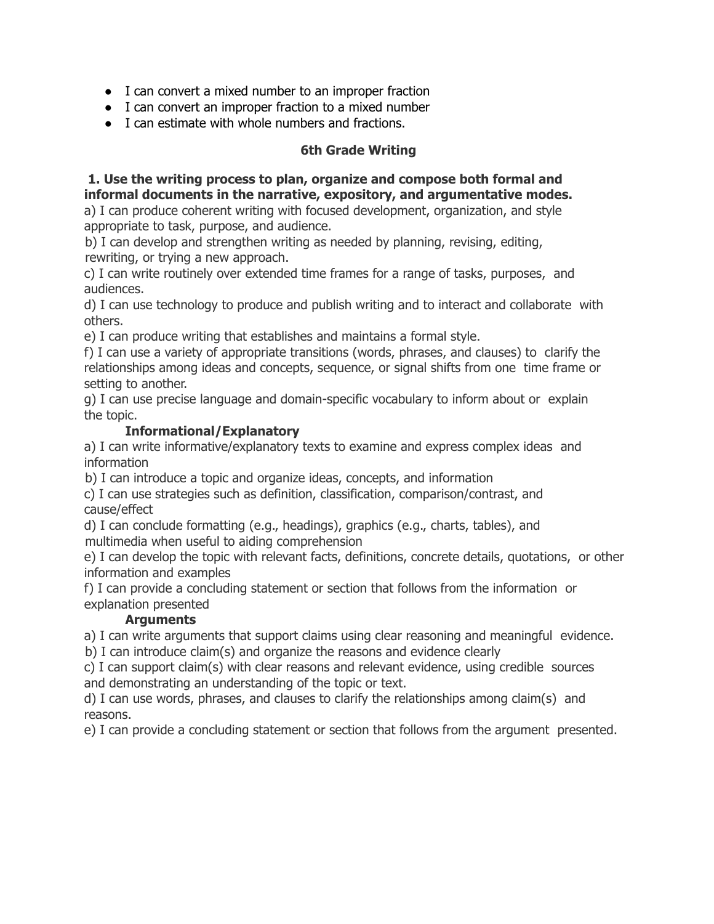- I can convert a mixed number to an improper fraction
- I can convert an improper fraction to a mixed number
- I can estimate with whole numbers and fractions.

#### **6th Grade Writing**

## **1. Use the writing process to plan, organize and compose both formal and informal documents in the narrative, expository, and argumentative modes.**

a) I can produce coherent writing with focused development, organization, and style appropriate to task, purpose, and audience.

b) I can develop and strengthen writing as needed by planning, revising, editing, rewriting, or trying a new approach.

c) I can write routinely over extended time frames for a range of tasks, purposes, and audiences.

d) I can use technology to produce and publish writing and to interact and collaborate with others.

e) I can produce writing that establishes and maintains a formal style.

f) I can use a variety of appropriate transitions (words, phrases, and clauses) to clarify the relationships among ideas and concepts, sequence, or signal shifts from one time frame or setting to another.

g) I can use precise language and domain-specific vocabulary to inform about or explain the topic.

#### **Informational/Explanatory**

a) I can write informative/explanatory texts to examine and express complex ideas and information

b) I can introduce a topic and organize ideas, concepts, and information

c) I can use strategies such as definition, classification, comparison/contrast, and cause/effect

d) I can conclude formatting (e.g., headings), graphics (e.g., charts, tables), and multimedia when useful to aiding comprehension

e) I can develop the topic with relevant facts, definitions, concrete details, quotations, or other information and examples

f) I can provide a concluding statement or section that follows from the information or explanation presented

#### **Arguments**

a) I can write arguments that support claims using clear reasoning and meaningful evidence.

b) I can introduce claim(s) and organize the reasons and evidence clearly

c) I can support claim(s) with clear reasons and relevant evidence, using credible sources and demonstrating an understanding of the topic or text.

d) I can use words, phrases, and clauses to clarify the relationships among claim(s) and reasons.

e) I can provide a concluding statement or section that follows from the argument presented.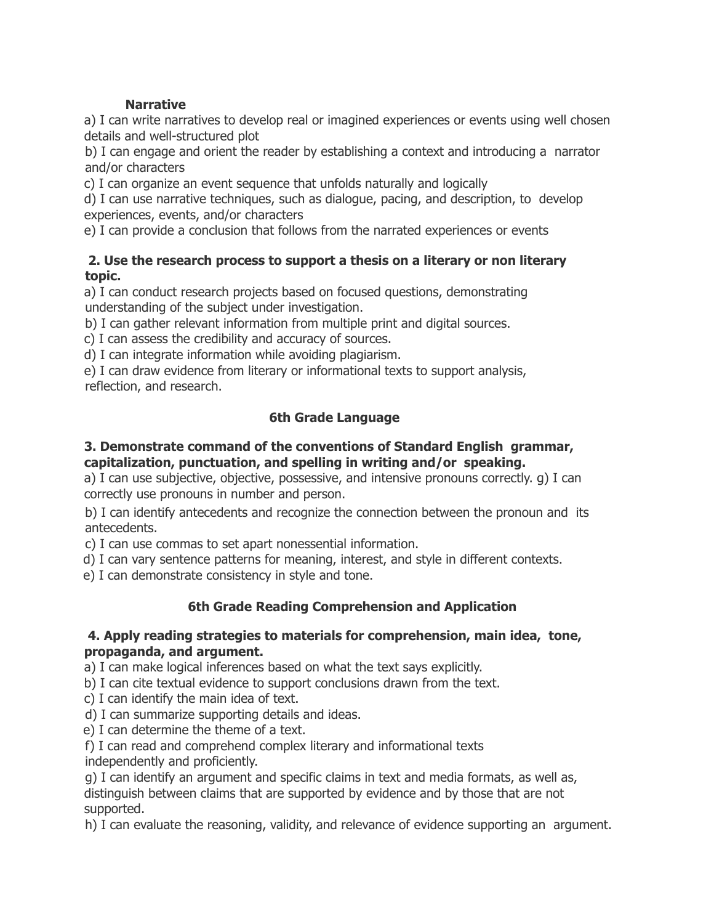# **Narrative**

a) I can write narratives to develop real or imagined experiences or events using well chosen details and well-structured plot

b) I can engage and orient the reader by establishing a context and introducing a narrator and/or characters

c) I can organize an event sequence that unfolds naturally and logically

d) I can use narrative techniques, such as dialogue, pacing, and description, to develop experiences, events, and/or characters

e) I can provide a conclusion that follows from the narrated experiences or events

## **2. Use the research process to support a thesis on a literary or non literary topic.**

a) I can conduct research projects based on focused questions, demonstrating understanding of the subject under investigation.

b) I can gather relevant information from multiple print and digital sources.

c) I can assess the credibility and accuracy of sources.

d) I can integrate information while avoiding plagiarism.

e) I can draw evidence from literary or informational texts to support analysis, reflection, and research.

# **6th Grade Language**

## **3. Demonstrate command of the conventions of Standard English grammar, capitalization, punctuation, and spelling in writing and/or speaking.**

a) I can use subjective, objective, possessive, and intensive pronouns correctly. g) I can correctly use pronouns in number and person.

b) I can identify antecedents and recognize the connection between the pronoun and its antecedents.

c) I can use commas to set apart nonessential information.

d) I can vary sentence patterns for meaning, interest, and style in different contexts.

e) I can demonstrate consistency in style and tone.

# **6th Grade Reading Comprehension and Application**

## **4. Apply reading strategies to materials for comprehension, main idea, tone, propaganda, and argument.**

a) I can make logical inferences based on what the text says explicitly.

b) I can cite textual evidence to support conclusions drawn from the text.

c) I can identify the main idea of text.

d) I can summarize supporting details and ideas.

e) I can determine the theme of a text.

f) I can read and comprehend complex literary and informational texts independently and proficiently.

g) I can identify an argument and specific claims in text and media formats, as well as, distinguish between claims that are supported by evidence and by those that are not supported.

h) I can evaluate the reasoning, validity, and relevance of evidence supporting an argument.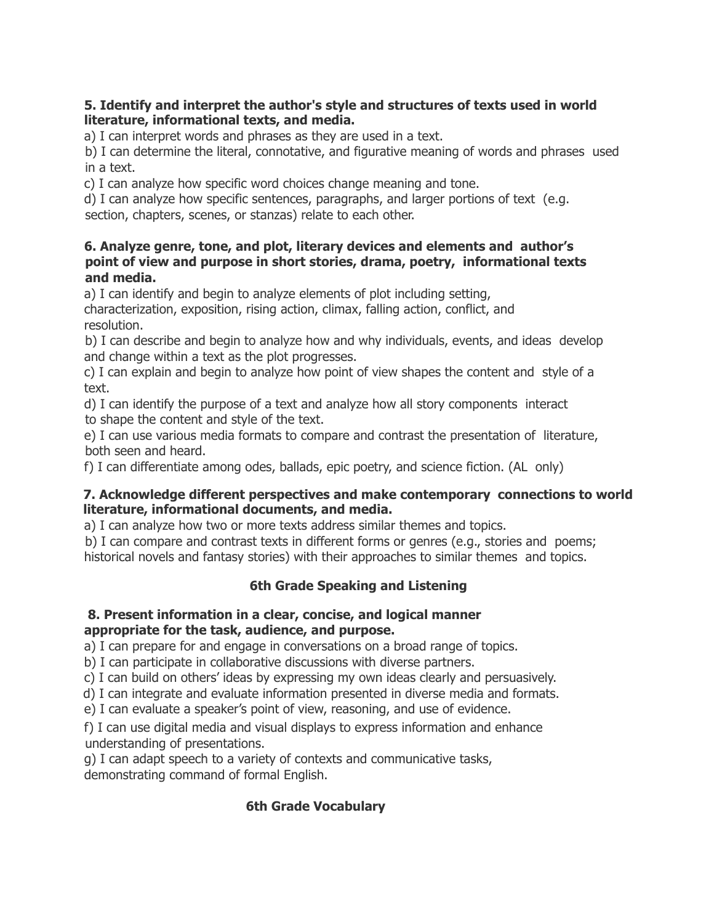## **5. Identify and interpret the author's style and structures of texts used in world literature, informational texts, and media.**

a) I can interpret words and phrases as they are used in a text.

b) I can determine the literal, connotative, and figurative meaning of words and phrases used in a text.

c) I can analyze how specific word choices change meaning and tone.

d) I can analyze how specific sentences, paragraphs, and larger portions of text (e.g. section, chapters, scenes, or stanzas) relate to each other.

#### **6. Analyze genre, tone, and plot, literary devices and elements and author's point of view and purpose in short stories, drama, poetry, informational texts and media.**

a) I can identify and begin to analyze elements of plot including setting,

characterization, exposition, rising action, climax, falling action, conflict, and resolution.

b) I can describe and begin to analyze how and why individuals, events, and ideas develop and change within a text as the plot progresses.

c) I can explain and begin to analyze how point of view shapes the content and style of a text.

d) I can identify the purpose of a text and analyze how all story components interact to shape the content and style of the text.

e) I can use various media formats to compare and contrast the presentation of literature, both seen and heard.

f) I can differentiate among odes, ballads, epic poetry, and science fiction. (AL only)

#### **7. Acknowledge different perspectives and make contemporary connections to world literature, informational documents, and media.**

a) I can analyze how two or more texts address similar themes and topics.

b) I can compare and contrast texts in different forms or genres (e.g., stories and poems; historical novels and fantasy stories) with their approaches to similar themes and topics.

# **6th Grade Speaking and Listening**

#### **8. Present information in a clear, concise, and logical manner appropriate for the task, audience, and purpose.**

a) I can prepare for and engage in conversations on a broad range of topics.

b) I can participate in collaborative discussions with diverse partners.

c) I can build on others' ideas by expressing my own ideas clearly and persuasively.

d) I can integrate and evaluate information presented in diverse media and formats.

e) I can evaluate a speaker's point of view, reasoning, and use of evidence.

f) I can use digital media and visual displays to express information and enhance understanding of presentations.

g) I can adapt speech to a variety of contexts and communicative tasks, demonstrating command of formal English.

# **6th Grade Vocabulary**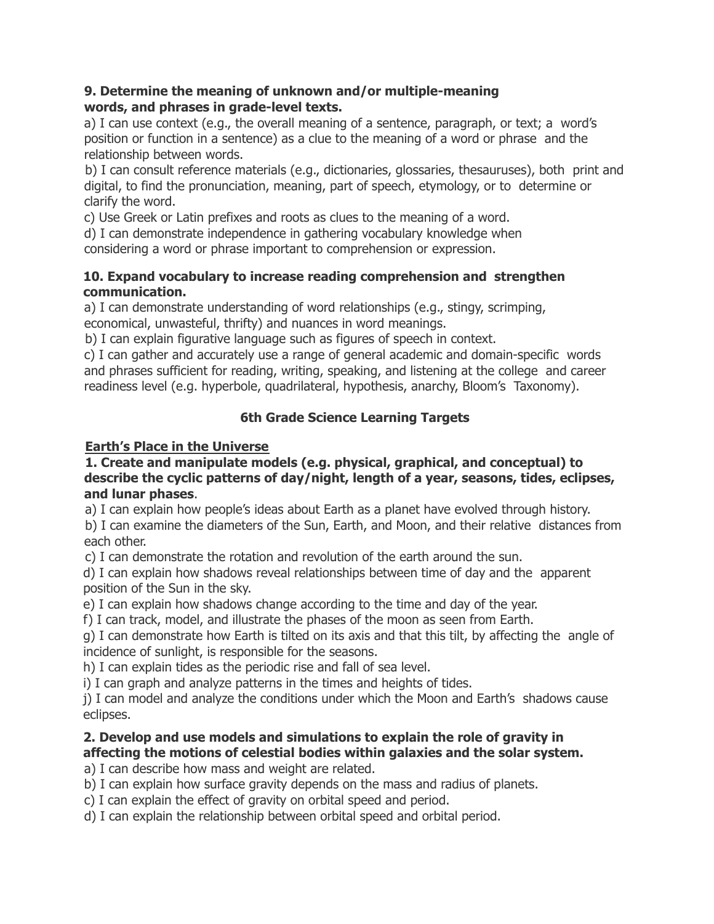#### **9. Determine the meaning of unknown and/or multiple-meaning words, and phrases in grade-level texts.**

a) I can use context (e.g., the overall meaning of a sentence, paragraph, or text; a word's position or function in a sentence) as a clue to the meaning of a word or phrase and the relationship between words.

b) I can consult reference materials (e.g., dictionaries, glossaries, thesauruses), both print and digital, to find the pronunciation, meaning, part of speech, etymology, or to determine or clarify the word.

c) Use Greek or Latin prefixes and roots as clues to the meaning of a word.

d) I can demonstrate independence in gathering vocabulary knowledge when

considering a word or phrase important to comprehension or expression.

## **10. Expand vocabulary to increase reading comprehension and strengthen communication.**

a) I can demonstrate understanding of word relationships (e.g., stingy, scrimping, economical, unwasteful, thrifty) and nuances in word meanings.

b) I can explain figurative language such as figures of speech in context.

c) I can gather and accurately use a range of general academic and domain-specific words and phrases sufficient for reading, writing, speaking, and listening at the college and career readiness level (e.g. hyperbole, quadrilateral, hypothesis, anarchy, Bloom's Taxonomy).

# **6th Grade Science Learning Targets**

# **Earth's Place in the Universe**

#### **1. Create and manipulate models (e.g. physical, graphical, and conceptual) to describe the cyclic patterns of day/night, length of a year, seasons, tides, eclipses, and lunar phases**.

a) I can explain how people's ideas about Earth as a planet have evolved through history.

b) I can examine the diameters of the Sun, Earth, and Moon, and their relative distances from each other.

c) I can demonstrate the rotation and revolution of the earth around the sun.

d) I can explain how shadows reveal relationships between time of day and the apparent position of the Sun in the sky.

e) I can explain how shadows change according to the time and day of the year.

f) I can track, model, and illustrate the phases of the moon as seen from Earth.

g) I can demonstrate how Earth is tilted on its axis and that this tilt, by affecting the angle of incidence of sunlight, is responsible for the seasons.

h) I can explain tides as the periodic rise and fall of sea level.

i) I can graph and analyze patterns in the times and heights of tides.

j) I can model and analyze the conditions under which the Moon and Earth's shadows cause eclipses.

# **2. Develop and use models and simulations to explain the role of gravity in affecting the motions of celestial bodies within galaxies and the solar system.**

a) I can describe how mass and weight are related.

b) I can explain how surface gravity depends on the mass and radius of planets.

c) I can explain the effect of gravity on orbital speed and period.

d) I can explain the relationship between orbital speed and orbital period.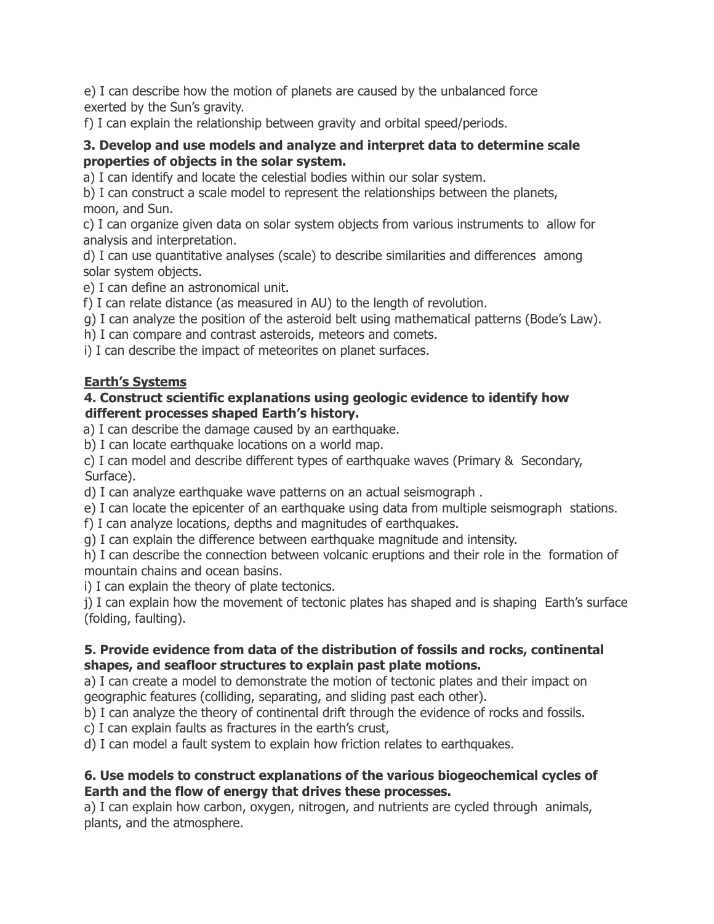e) I can describe how the motion of planets are caused by the unbalanced force exerted by the Sun's gravity.

f) I can explain the relationship between gravity and orbital speed/periods.

## **3. Develop and use models and analyze and interpret data to determine scale properties of objects in the solar system.**

a) I can identify and locate the celestial bodies within our solar system.

b) I can construct a scale model to represent the relationships between the planets, moon, and Sun.

c) I can organize given data on solar system objects from various instruments to allow for analysis and interpretation.

d) I can use quantitative analyses (scale) to describe similarities and differences among solar system objects.

e) I can define an astronomical unit.

f) I can relate distance (as measured in AU) to the length of revolution.

g) I can analyze the position of the asteroid belt using mathematical patterns (Bode's Law).

h) I can compare and contrast asteroids, meteors and comets.

i) I can describe the impact of meteorites on planet surfaces.

# **Earth's Systems**

## **4. Construct scientific explanations using geologic evidence to identify how different processes shaped Earth's history.**

a) I can describe the damage caused by an earthquake.

b) I can locate earthquake locations on a world map.

c) I can model and describe different types of earthquake waves (Primary & Secondary, Surface).

d) I can analyze earthquake wave patterns on an actual seismograph .

e) I can locate the epicenter of an earthquake using data from multiple seismograph stations.

f) I can analyze locations, depths and magnitudes of earthquakes.

g) I can explain the difference between earthquake magnitude and intensity.

h) I can describe the connection between volcanic eruptions and their role in the formation of mountain chains and ocean basins.

i) I can explain the theory of plate tectonics.

j) I can explain how the movement of tectonic plates has shaped and is shaping Earth's surface (folding, faulting).

# **5. Provide evidence from data of the distribution of fossils and rocks, continental shapes, and seafloor structures to explain past plate motions.**

a) I can create a model to demonstrate the motion of tectonic plates and their impact on geographic features (colliding, separating, and sliding past each other).

b) I can analyze the theory of continental drift through the evidence of rocks and fossils.

c) I can explain faults as fractures in the earth's crust,

d) I can model a fault system to explain how friction relates to earthquakes.

# **6. Use models to construct explanations of the various biogeochemical cycles of Earth and the flow of energy that drives these processes.**

a) I can explain how carbon, oxygen, nitrogen, and nutrients are cycled through animals, plants, and the atmosphere.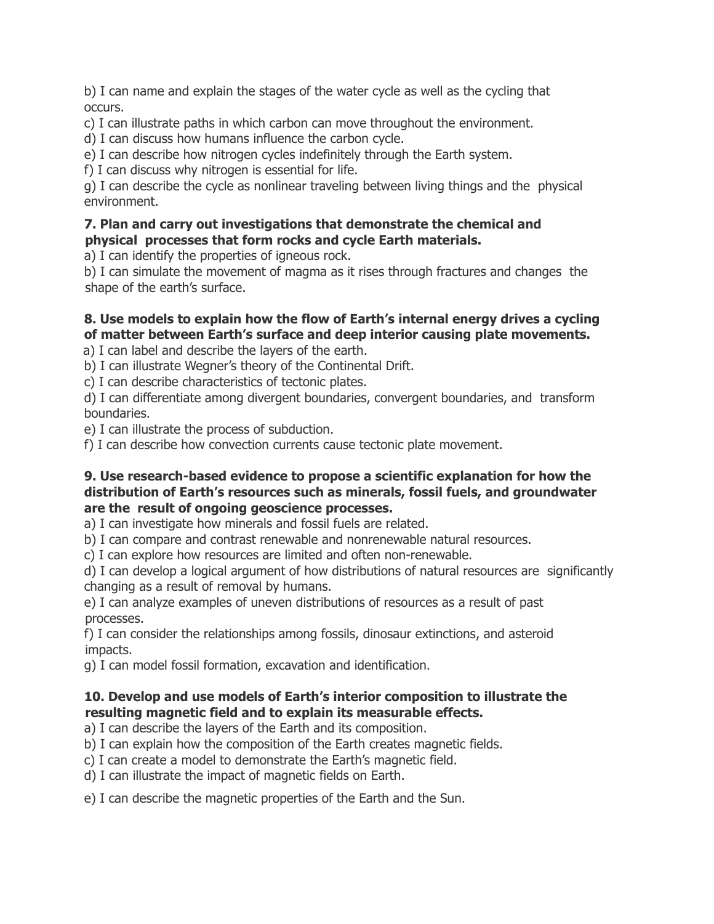b) I can name and explain the stages of the water cycle as well as the cycling that occurs.

c) I can illustrate paths in which carbon can move throughout the environment.

d) I can discuss how humans influence the carbon cycle.

e) I can describe how nitrogen cycles indefinitely through the Earth system.

f) I can discuss why nitrogen is essential for life.

g) I can describe the cycle as nonlinear traveling between living things and the physical environment.

#### **7. Plan and carry out investigations that demonstrate the chemical and physical processes that form rocks and cycle Earth materials.**

a) I can identify the properties of igneous rock.

b) I can simulate the movement of magma as it rises through fractures and changes the shape of the earth's surface.

## **8. Use models to explain how the flow of Earth's internal energy drives a cycling of matter between Earth's surface and deep interior causing plate movements.**

a) I can label and describe the layers of the earth.

b) I can illustrate Wegner's theory of the Continental Drift.

c) I can describe characteristics of tectonic plates.

d) I can differentiate among divergent boundaries, convergent boundaries, and transform boundaries.

e) I can illustrate the process of subduction.

f) I can describe how convection currents cause tectonic plate movement.

#### **9. Use research-based evidence to propose a scientific explanation for how the distribution of Earth's resources such as minerals, fossil fuels, and groundwater are the result of ongoing geoscience processes.**

a) I can investigate how minerals and fossil fuels are related.

b) I can compare and contrast renewable and nonrenewable natural resources.

c) I can explore how resources are limited and often non-renewable.

d) I can develop a logical argument of how distributions of natural resources are significantly changing as a result of removal by humans.

e) I can analyze examples of uneven distributions of resources as a result of past processes.

f) I can consider the relationships among fossils, dinosaur extinctions, and asteroid impacts.

g) I can model fossil formation, excavation and identification.

# **10. Develop and use models of Earth's interior composition to illustrate the resulting magnetic field and to explain its measurable effects.**

a) I can describe the layers of the Earth and its composition.

b) I can explain how the composition of the Earth creates magnetic fields.

c) I can create a model to demonstrate the Earth's magnetic field.

d) I can illustrate the impact of magnetic fields on Earth.

e) I can describe the magnetic properties of the Earth and the Sun.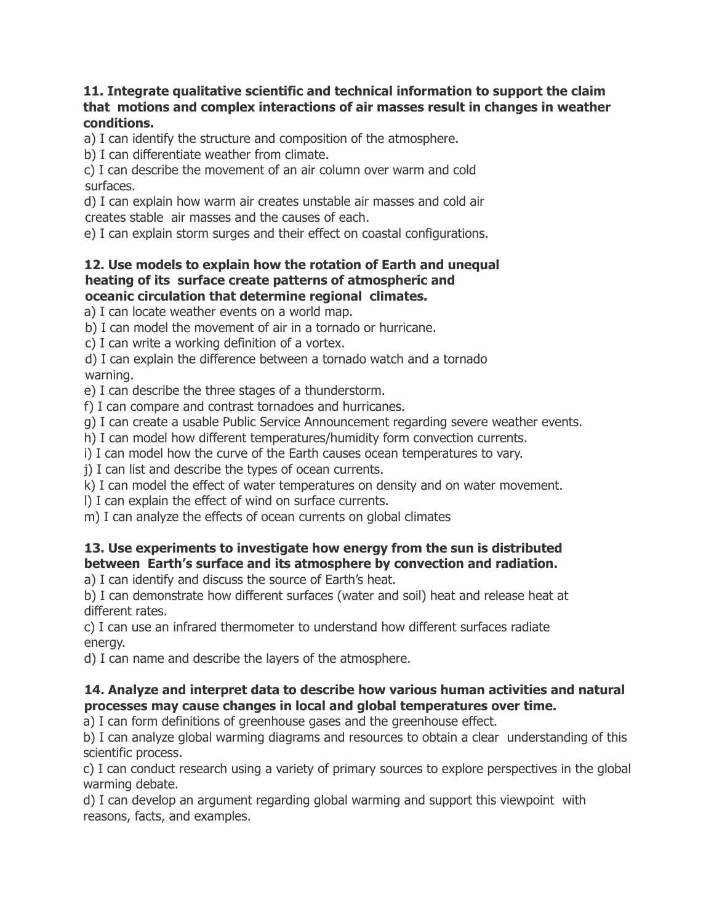#### **11. Integrate qualitative scientific and technical information to support the claim that motions and complex interactions of air masses result in changes in weather conditions.**

a) I can identify the structure and composition of the atmosphere.

b) I can differentiate weather from climate.

c) I can describe the movement of an air column over warm and cold surfaces.

d) I can explain how warm air creates unstable air masses and cold air creates stable air masses and the causes of each.

e) I can explain storm surges and their effect on coastal configurations.

#### **12. Use models to explain how the rotation of Earth and unequal heating of its surface create patterns of atmospheric and oceanic circulation that determine regional climates.**

a) I can locate weather events on a world map.

b) I can model the movement of air in a tornado or hurricane.

c) I can write a working definition of a vortex.

d) I can explain the difference between a tornado watch and a tornado warning.

e) I can describe the three stages of a thunderstorm.

f) I can compare and contrast tornadoes and hurricanes.

g) I can create a usable Public Service Announcement regarding severe weather events.

h) I can model how different temperatures/humidity form convection currents.

i) I can model how the curve of the Earth causes ocean temperatures to vary.

j) I can list and describe the types of ocean currents.

k) I can model the effect of water temperatures on density and on water movement.

l) I can explain the effect of wind on surface currents.

m) I can analyze the effects of ocean currents on global climates

# **13. Use experiments to investigate how energy from the sun is distributed between Earth's surface and its atmosphere by convection and radiation.**

a) I can identify and discuss the source of Earth's heat.

b) I can demonstrate how different surfaces (water and soil) heat and release heat at different rates.

c) I can use an infrared thermometer to understand how different surfaces radiate energy.

d) I can name and describe the layers of the atmosphere.

# **14. Analyze and interpret data to describe how various human activities and natural processes may cause changes in local and global temperatures over time.**

a) I can form definitions of greenhouse gases and the greenhouse effect.

b) I can analyze global warming diagrams and resources to obtain a clear understanding of this scientific process.

c) I can conduct research using a variety of primary sources to explore perspectives in the global warming debate.

d) I can develop an argument regarding global warming and support this viewpoint with reasons, facts, and examples.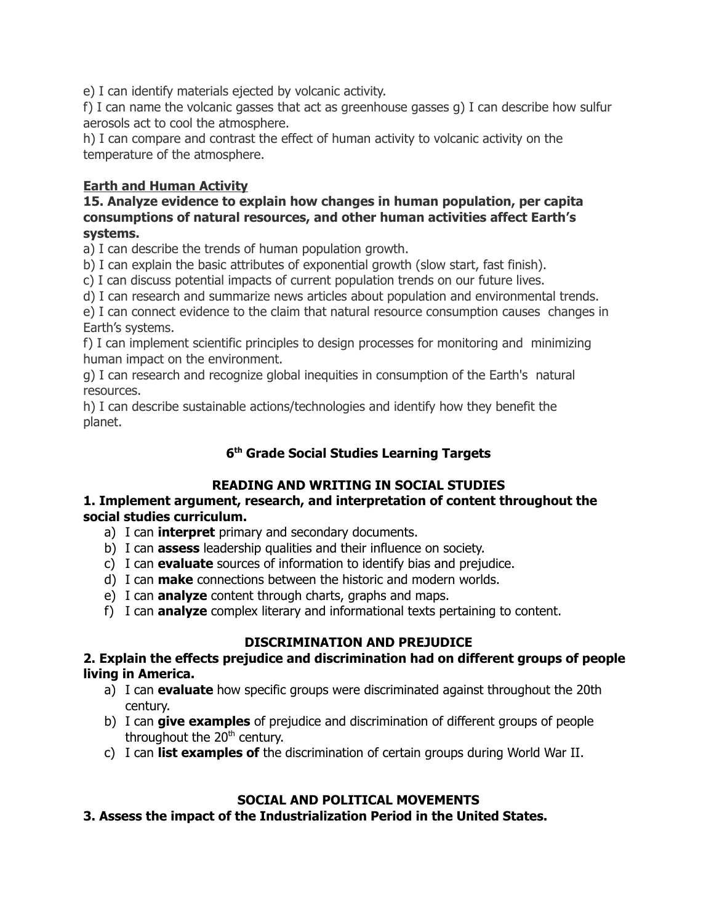e) I can identify materials ejected by volcanic activity.

f) I can name the volcanic gasses that act as greenhouse gasses g) I can describe how sulfur aerosols act to cool the atmosphere.

h) I can compare and contrast the effect of human activity to volcanic activity on the temperature of the atmosphere.

## **Earth and Human Activity**

#### **15. Analyze evidence to explain how changes in human population, per capita consumptions of natural resources, and other human activities affect Earth's systems.**

a) I can describe the trends of human population growth.

b) I can explain the basic attributes of exponential growth (slow start, fast finish).

c) I can discuss potential impacts of current population trends on our future lives.

d) I can research and summarize news articles about population and environmental trends.

e) I can connect evidence to the claim that natural resource consumption causes changes in Earth's systems.

f) I can implement scientific principles to design processes for monitoring and minimizing human impact on the environment.

g) I can research and recognize global inequities in consumption of the Earth's natural resources.

h) I can describe sustainable actions/technologies and identify how they benefit the planet.

## **6 th Grade Social Studies Learning Targets**

# **READING AND WRITING IN SOCIAL STUDIES**

#### **1. Implement argument, research, and interpretation of content throughout the social studies curriculum.**

- a) I can **interpret** primary and secondary documents.
- b) I can **assess** leadership qualities and their influence on society.
- c) I can **evaluate** sources of information to identify bias and prejudice.
- d) I can **make** connections between the historic and modern worlds.
- e) I can **analyze** content through charts, graphs and maps.
- f) I can **analyze** complex literary and informational texts pertaining to content.

# **DISCRIMINATION AND PREJUDICE**

#### **2. Explain the effects prejudice and discrimination had on different groups of people living in America.**

- a) I can **evaluate** how specific groups were discriminated against throughout the 20th century.
- b) I can **give examples** of prejudice and discrimination of different groups of people throughout the 20<sup>th</sup> century.
- c) I can **list examples of** the discrimination of certain groups during World War II.

# **SOCIAL AND POLITICAL MOVEMENTS**

**3. Assess the impact of the Industrialization Period in the United States.**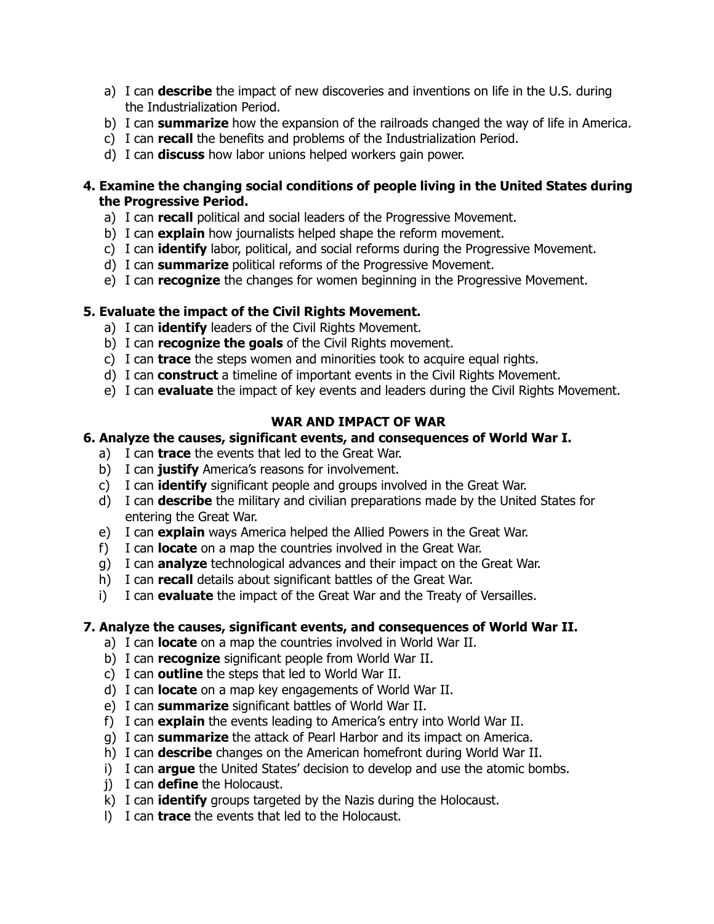- a) I can **describe** the impact of new discoveries and inventions on life in the U.S. during the Industrialization Period.
- b) I can **summarize** how the expansion of the railroads changed the way of life in America.
- c) I can **recall** the benefits and problems of the Industrialization Period.
- d) I can **discuss** how labor unions helped workers gain power.

#### **4. Examine the changing social conditions of people living in the United States during the Progressive Period.**

- a) I can **recall** political and social leaders of the Progressive Movement.
- b) I can **explain** how journalists helped shape the reform movement.
- c) I can **identify** labor, political, and social reforms during the Progressive Movement.
- d) I can **summarize** political reforms of the Progressive Movement.
- e) I can **recognize** the changes for women beginning in the Progressive Movement.

# **5. Evaluate the impact of the Civil Rights Movement.**

- a) I can **identify** leaders of the Civil Rights Movement.
- b) I can **recognize the goals** of the Civil Rights movement.
- c) I can **trace** the steps women and minorities took to acquire equal rights.
- d) I can **construct** a timeline of important events in the Civil Rights Movement.
- e) I can **evaluate** the impact of key events and leaders during the Civil Rights Movement.

## **WAR AND IMPACT OF WAR**

## **6. Analyze the causes, significant events, and consequences of World War I.**

- a) I can **trace** the events that led to the Great War.
- b) I can **justify** America's reasons for involvement.
- c) I can **identify** significant people and groups involved in the Great War.
- d) I can **describe** the military and civilian preparations made by the United States for entering the Great War.
- e) I can **explain** ways America helped the Allied Powers in the Great War.
- f) I can **locate** on a map the countries involved in the Great War.
- g) I can **analyze** technological advances and their impact on the Great War.
- h) I can **recall** details about significant battles of the Great War.
- i) I can **evaluate** the impact of the Great War and the Treaty of Versailles.

# **7. Analyze the causes, significant events, and consequences of World War II.**

- a) I can **locate** on a map the countries involved in World War II.
- b) I can **recognize** significant people from World War II.
- c) I can **outline** the steps that led to World War II.
- d) I can **locate** on a map key engagements of World War II.
- e) I can **summarize** significant battles of World War II.
- f) I can **explain** the events leading to America's entry into World War II.
- g) I can **summarize** the attack of Pearl Harbor and its impact on America.
- h) I can **describe** changes on the American homefront during World War II.
- i) I can **argue** the United States' decision to develop and use the atomic bombs.
- j) I can **define** the Holocaust.
- k) I can **identify** groups targeted by the Nazis during the Holocaust.
- l) I can **trace** the events that led to the Holocaust.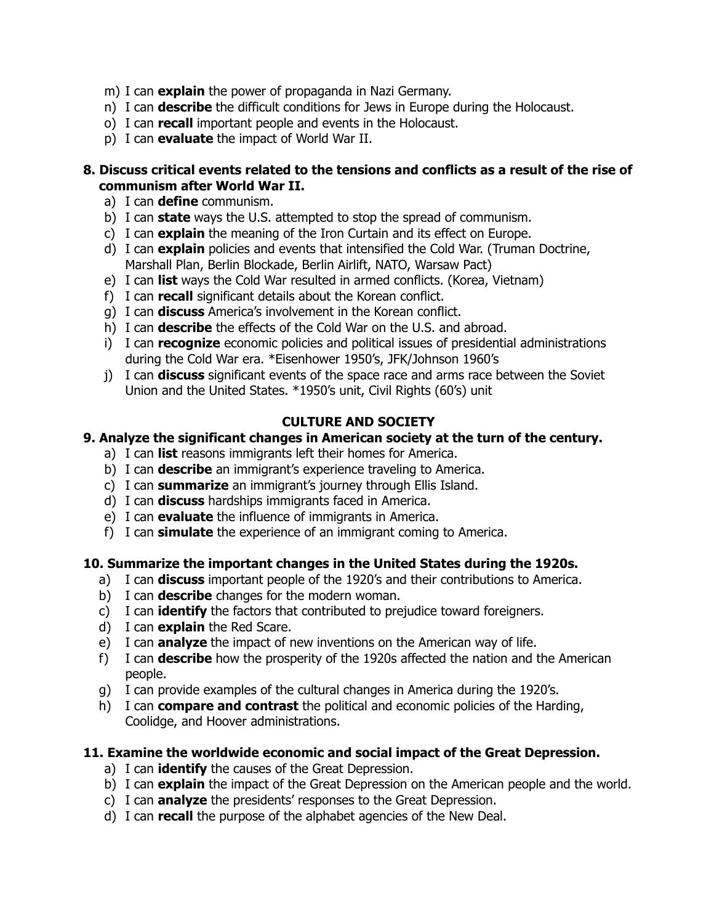- m) I can **explain** the power of propaganda in Nazi Germany.
- n) I can **describe** the difficult conditions for Jews in Europe during the Holocaust.
- o) I can **recall** important people and events in the Holocaust.
- p) I can **evaluate** the impact of World War II.

#### **8. Discuss critical events related to the tensions and conflicts as a result of the rise of communism after World War II.**

- a) I can **define** communism.
- b) I can **state** ways the U.S. attempted to stop the spread of communism.
- c) I can **explain** the meaning of the Iron Curtain and its effect on Europe.
- d) I can **explain** policies and events that intensified the Cold War. (Truman Doctrine, Marshall Plan, Berlin Blockade, Berlin Airlift, NATO, Warsaw Pact)
- e) I can **list** ways the Cold War resulted in armed conflicts. (Korea, Vietnam)
- f) I can **recall** significant details about the Korean conflict.
- g) I can **discuss** America's involvement in the Korean conflict.
- h) I can **describe** the effects of the Cold War on the U.S. and abroad.
- i) I can **recognize** economic policies and political issues of presidential administrations during the Cold War era. \*Eisenhower 1950's, JFK/Johnson 1960's
- j) I can **discuss** significant events of the space race and arms race between the Soviet Union and the United States. \*1950's unit, Civil Rights (60's) unit

## **CULTURE AND SOCIETY**

#### **9. Analyze the significant changes in American society at the turn of the century.**

- a) I can **list** reasons immigrants left their homes for America.
	- b) I can **describe** an immigrant's experience traveling to America.
- c) I can **summarize** an immigrant's journey through Ellis Island.
- d) I can **discuss** hardships immigrants faced in America.
- e) I can **evaluate** the influence of immigrants in America.
- f) I can **simulate** the experience of an immigrant coming to America.

#### **10. Summarize the important changes in the United States during the 1920s.**

- a) I can **discuss** important people of the 1920's and their contributions to America.
- b) I can **describe** changes for the modern woman.
- c) I can **identify** the factors that contributed to prejudice toward foreigners.
- d) I can **explain** the Red Scare.
- e) I can **analyze** the impact of new inventions on the American way of life.
- f) I can **describe** how the prosperity of the 1920s affected the nation and the American people.
- g) I can provide examples of the cultural changes in America during the 1920's.
- h) I can **compare and contrast** the political and economic policies of the Harding, Coolidge, and Hoover administrations.

#### **11. Examine the worldwide economic and social impact of the Great Depression.**

- a) I can **identify** the causes of the Great Depression.
- b) I can **explain** the impact of the Great Depression on the American people and the world.
- c) I can **analyze** the presidents' responses to the Great Depression.
- d) I can **recall** the purpose of the alphabet agencies of the New Deal.